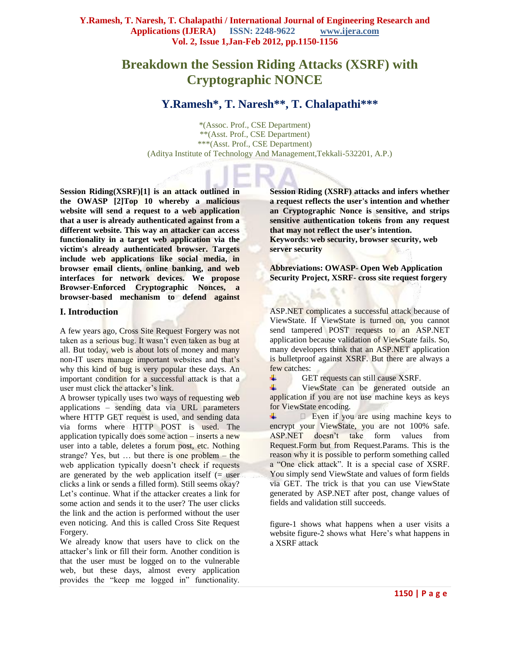# **Breakdown the Session Riding Attacks (XSRF) with Cryptographic NONCE**

# **Y.Ramesh\*, T. Naresh\*\*, T. Chalapathi\*\*\***

\*(Assoc. Prof., CSE Department) \*\*(Asst. Prof., CSE Department) \*\*\*(Asst. Prof., CSE Department) (Aditya Institute of Technology And Management,Tekkali-532201, A.P.)

**Session Riding(XSRF)[1] is an attack outlined in the OWASP [2]Top 10 whereby a malicious website will send a request to a web application that a user is already authenticated against from a different website. This way an attacker can access functionality in a target web application via the victim's already authenticated browser. Targets include web applications like social media, in browser email clients, online banking, and web interfaces for network devices. We propose Browser-Enforced Cryptographic Nonces, a browser-based mechanism to defend against** 

#### **I. Introduction**

A few years ago, Cross Site Request Forgery was not taken as a serious bug. It wasn't even taken as bug at all. But today, web is about lots of money and many non-IT users manage important websites and that's why this kind of bug is very popular these days. An important condition for a successful attack is that a user must click the attacker's link.

A browser typically uses two ways of requesting web applications – sending data via URL parameters where HTTP GET request is used, and sending data via forms where HTTP POST is used. The application typically does some action – inserts a new user into a table, deletes a forum post, etc. Nothing strange? Yes, but … but there is one problem – the web application typically doesn't check if requests are generated by the web application itself  $($  = user clicks a link or sends a filled form). Still seems okay? Let's continue. What if the attacker creates a link for some action and sends it to the user? The user clicks the link and the action is performed without the user even noticing. And this is called Cross Site Request Forgery.

We already know that users have to click on the attacker's link or fill their form. Another condition is that the user must be logged on to the vulnerable web, but these days, almost every application provides the "keep me logged in" functionality. **Session Riding (XSRF) attacks and infers whether a request reflects the user's intention and whether an Cryptographic Nonce is sensitive, and strips sensitive authentication tokens from any request that may not reflect the user's intention. Keywords: web security, browser security, web server security** 

**Abbreviations: OWASP- Open Web Application Security Project, XSRF- cross site request forgery**

ASP.NET complicates a successful attack because of ViewState. If ViewState is turned on, you cannot send tampered POST requests to an ASP.NET application because validation of ViewState fails. So, many developers think that an ASP.NET application is bulletproof against XSRF. But there are always a few catches:

GET requests can still cause XSRF.

ViewState can be generated outside an application if you are not use machine keys as keys for ViewState encoding.

÷  $\Box$  Even if you are using machine keys to encrypt your ViewState, you are not 100% safe. ASP.NET doesn't take form values from Request.Form but from Request.Params. This is the reason why it is possible to perform something called a "One click attack". It is a special case of XSRF. You simply send ViewState and values of form fields via GET. The trick is that you can use ViewState generated by ASP.NET after post, change values of fields and validation still succeeds.

figure-1 shows what happens when a user visits a website figure-2 shows what Here's what happens in a XSRF attack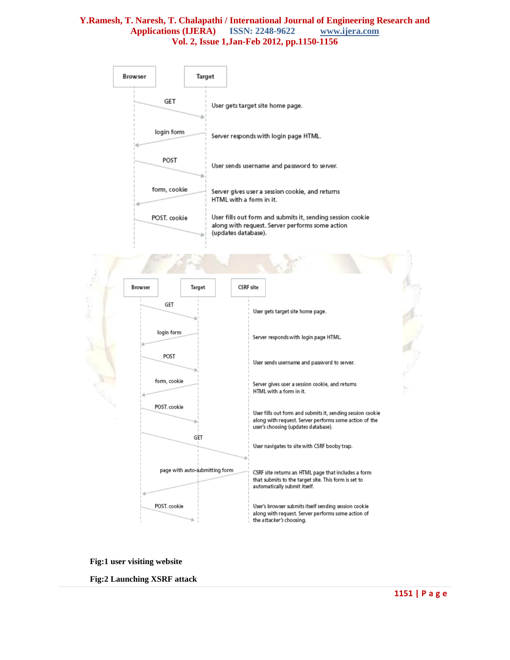|  | Browser                                                                               |              | Target |                                                                                                                                                                                                                                                                   |                                                                                                                                                             |  |  |
|--|---------------------------------------------------------------------------------------|--------------|--------|-------------------------------------------------------------------------------------------------------------------------------------------------------------------------------------------------------------------------------------------------------------------|-------------------------------------------------------------------------------------------------------------------------------------------------------------|--|--|
|  |                                                                                       | GET          |        | User gets target site home page.                                                                                                                                                                                                                                  |                                                                                                                                                             |  |  |
|  |                                                                                       | login form   |        | Server responds with login page HTML.                                                                                                                                                                                                                             |                                                                                                                                                             |  |  |
|  |                                                                                       | POST         |        | User sends username and password to server.<br>Server gives user a session cookie, and returns<br>HTML with a form in it.<br>User fills out form and submits it, sending session cookie<br>along with request. Server performs some action<br>(updates database). |                                                                                                                                                             |  |  |
|  |                                                                                       | form, cookie |        |                                                                                                                                                                                                                                                                   |                                                                                                                                                             |  |  |
|  |                                                                                       | POST. cookie |        |                                                                                                                                                                                                                                                                   |                                                                                                                                                             |  |  |
|  |                                                                                       |              |        |                                                                                                                                                                                                                                                                   |                                                                                                                                                             |  |  |
|  | Browser                                                                               | Target       |        | <b>CSRF</b> site                                                                                                                                                                                                                                                  |                                                                                                                                                             |  |  |
|  | GET                                                                                   |              |        |                                                                                                                                                                                                                                                                   | User gets target site home page.                                                                                                                            |  |  |
|  |                                                                                       | login form   |        |                                                                                                                                                                                                                                                                   | Server responds with login page HTML.                                                                                                                       |  |  |
|  |                                                                                       | POST         |        |                                                                                                                                                                                                                                                                   | User sends username and password to server.                                                                                                                 |  |  |
|  | form, cookie<br>POST, cookie<br>GET<br>page with auto-submitting form<br>POST. cookie |              |        |                                                                                                                                                                                                                                                                   | Server gives user a session cookie, and returns<br>HTML with a form in it.                                                                                  |  |  |
|  |                                                                                       |              |        |                                                                                                                                                                                                                                                                   | User fills out form and submits it, sending session cookie<br>along with request. Server performs some action of the<br>user's choosing (updates database). |  |  |
|  |                                                                                       |              |        |                                                                                                                                                                                                                                                                   | User navigates to site with CSRF booby trap.                                                                                                                |  |  |
|  |                                                                                       |              |        |                                                                                                                                                                                                                                                                   | CSRF site returns an HTML page that includes a form<br>that submits to the target site. This form is set to<br>automatically submit itself.                 |  |  |
|  |                                                                                       |              |        |                                                                                                                                                                                                                                                                   | User's browser submits itself sending session cookie<br>along with request. Server performs some action of<br>the attacker's choosing.                      |  |  |

**Fig:1 user visiting website**

**Fig:2 Launching XSRF attack**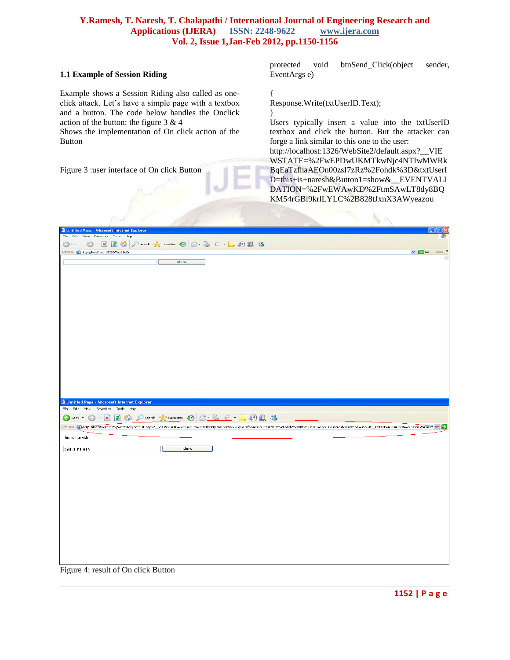#### **1.1 Example of Session Riding**

Example shows a Session Riding also called as oneclick attack. Let's have a simple page with a textbox and a button. The code below handles the Onclick action of the button: the figure 3 & 4

Shows the implementation of On click action of the Button

Figure 3 :user interface of On click Button

protected void btnSend\_Click(object sender, EventArgs e)

{ Response.Write(txtUserID.Text);

} Users typically insert a value into the txtUserID textbox and click the button. But the attacker can forge a link similar to this one to the user:

[http://localhost:1326/WebSite2/default.aspx?\\_\\_VIE](http://localhost:1326/WebSite2/default.aspx?__VIEWSTATE=%2FwEPDwUKMTkwNjc4NTIwMWRkBqEaTzfhaAEOn00zsI7zRz%2Fohdk%3D&txtUserID=this+is+naresh&Button1=show&__EVENTVALIDATION=%2FwEWAwKD%2FtmSAwLT8dy8BQKM54rGBl9krlLYLC%2B828tJxnX3AWyeazou) [WSTATE=%2FwEPDwUKMTkwNjc4NTIwMWRk](http://localhost:1326/WebSite2/default.aspx?__VIEWSTATE=%2FwEPDwUKMTkwNjc4NTIwMWRkBqEaTzfhaAEOn00zsI7zRz%2Fohdk%3D&txtUserID=this+is+naresh&Button1=show&__EVENTVALIDATION=%2FwEWAwKD%2FtmSAwLT8dy8BQKM54rGBl9krlLYLC%2B828tJxnX3AWyeazou) [BqEaTzfhaAEOn00zsI7zRz%2Fohdk%3D&txtUserI](http://localhost:1326/WebSite2/default.aspx?__VIEWSTATE=%2FwEPDwUKMTkwNjc4NTIwMWRkBqEaTzfhaAEOn00zsI7zRz%2Fohdk%3D&txtUserID=this+is+naresh&Button1=show&__EVENTVALIDATION=%2FwEWAwKD%2FtmSAwLT8dy8BQKM54rGBl9krlLYLC%2B828tJxnX3AWyeazou) [D=this+is+naresh&Button1=show&\\_\\_EVENTVALI](http://localhost:1326/WebSite2/default.aspx?__VIEWSTATE=%2FwEPDwUKMTkwNjc4NTIwMWRkBqEaTzfhaAEOn00zsI7zRz%2Fohdk%3D&txtUserID=this+is+naresh&Button1=show&__EVENTVALIDATION=%2FwEWAwKD%2FtmSAwLT8dy8BQKM54rGBl9krlLYLC%2B828tJxnX3AWyeazou) [DATION=%2FwEWAwKD%2FtmSAwLT8dy8BQ](http://localhost:1326/WebSite2/default.aspx?__VIEWSTATE=%2FwEPDwUKMTkwNjc4NTIwMWRkBqEaTzfhaAEOn00zsI7zRz%2Fohdk%3D&txtUserID=this+is+naresh&Button1=show&__EVENTVALIDATION=%2FwEWAwKD%2FtmSAwLT8dy8BQKM54rGBl9krlLYLC%2B828tJxnX3AWyeazou) [KM54rGBl9krlLYLC%2B828tJxnX3AWyeazou](http://localhost:1326/WebSite2/default.aspx?__VIEWSTATE=%2FwEPDwUKMTkwNjc4NTIwMWRkBqEaTzfhaAEOn00zsI7zRz%2Fohdk%3D&txtUserID=this+is+naresh&Button1=show&__EVENTVALIDATION=%2FwEWAwKD%2FtmSAwLT8dy8BQKM54rGBl9krlLYLC%2B828tJxnX3AWyeazou)

| <sup>2</sup> Untitled Page - Microsoft Internet Explorer                                                                                                                                                   | - <b> </b> 레×                               |
|------------------------------------------------------------------------------------------------------------------------------------------------------------------------------------------------------------|---------------------------------------------|
| File Edit View Favorites Tools Help                                                                                                                                                                        | 4,                                          |
| ●Back · ● · ■ 2 ● P Search ★ Favorites ● 2 是 E · ■ 图 12 名                                                                                                                                                  |                                             |
| Address <b>C</b> http://localhost:1326/WebSite2/                                                                                                                                                           | $\vee$ $\rightarrow$ Go Links $\rightarrow$ |
| show                                                                                                                                                                                                       |                                             |
|                                                                                                                                                                                                            |                                             |
|                                                                                                                                                                                                            |                                             |
|                                                                                                                                                                                                            |                                             |
|                                                                                                                                                                                                            |                                             |
|                                                                                                                                                                                                            |                                             |
|                                                                                                                                                                                                            |                                             |
|                                                                                                                                                                                                            |                                             |
|                                                                                                                                                                                                            |                                             |
|                                                                                                                                                                                                            |                                             |
|                                                                                                                                                                                                            |                                             |
|                                                                                                                                                                                                            |                                             |
|                                                                                                                                                                                                            |                                             |
|                                                                                                                                                                                                            |                                             |
|                                                                                                                                                                                                            |                                             |
|                                                                                                                                                                                                            |                                             |
|                                                                                                                                                                                                            |                                             |
|                                                                                                                                                                                                            |                                             |
|                                                                                                                                                                                                            |                                             |
| <sup>2</sup> Untitled Page - Microsoft Internet Explorer                                                                                                                                                   |                                             |
| File Edit View Favorites Tools Help                                                                                                                                                                        |                                             |
| - 2 2 Co Seerch & Favorites @ 8 2 m - m 1<br>.88<br>$\bigodot$ Back $\cdot$<br>$\odot$                                                                                                                     |                                             |
| Address & http://localhost:1326/WebSite2/default.aspx?_VIEWSTATE=%2FwEPDwUKMTkwNjc4NTIwMWRkBqEaTzfhaAEOn00zsI7zRz%2Fohdk%3D&bxtUserID=this+is+naresh&Button1=show&_EVENTVALIDATION=%2FwEWAwKD <sup>+</sup> |                                             |
| this is naresh                                                                                                                                                                                             |                                             |
|                                                                                                                                                                                                            |                                             |
| this is naresh<br>show                                                                                                                                                                                     |                                             |
|                                                                                                                                                                                                            |                                             |
|                                                                                                                                                                                                            |                                             |
|                                                                                                                                                                                                            |                                             |
|                                                                                                                                                                                                            |                                             |
|                                                                                                                                                                                                            |                                             |
|                                                                                                                                                                                                            |                                             |
|                                                                                                                                                                                                            |                                             |
|                                                                                                                                                                                                            |                                             |
|                                                                                                                                                                                                            |                                             |
|                                                                                                                                                                                                            |                                             |
|                                                                                                                                                                                                            |                                             |
|                                                                                                                                                                                                            |                                             |
|                                                                                                                                                                                                            |                                             |
|                                                                                                                                                                                                            |                                             |
| $\sim$                                                                                                                                                                                                     |                                             |

Figure 4: result of On click Button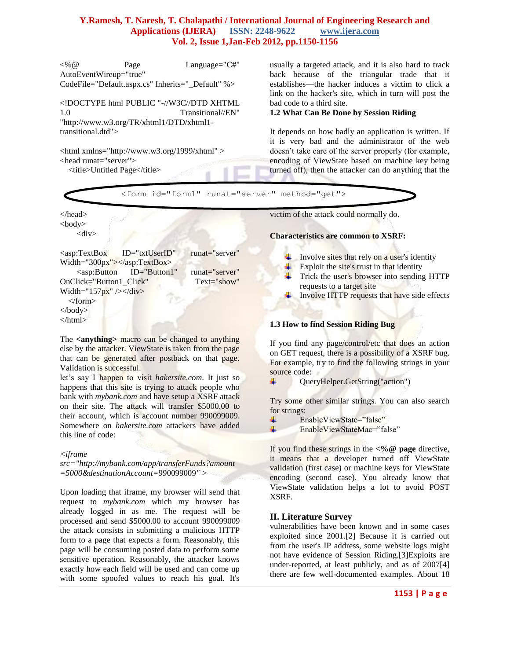<%@ Page Language="C#" AutoEventWireup="true" CodeFile="Default.aspx.cs" Inherits="\_Default" %>

<!DOCTYPE html PUBLIC "-//W3C//DTD XHTML 1.0 Transitional//EN" "http://www.w3.org/TR/xhtml1/DTD/xhtml1 transitional.dtd">

<html xmlns="http://www.w3.org/1999/xhtml" > <head runat="server"> <title>Untitled Page</title>

usually a targeted attack, and it is also hard to track back because of the triangular trade that it establishes—the hacker induces a victim to click a link on the hacker's site, which in turn will post the bad code to a third site.

#### **1.2 What Can Be Done by Session Riding**

It depends on how badly an application is written. If it is very bad and the administrator of the web doesn't take care of the server properly (for example, encoding of ViewState based on machine key being turned off), then the attacker can do anything that the



The **<anything>** macro can be changed to anything else by the attacker. ViewState is taken from the page that can be generated after postback on that page. Validation is successful.

let's say I happen to visit *hakersite.com*. It just so happens that this site is trying to attack people who bank with *mybank.com* and have setup a XSRF attack on their site. The attack will transfer \$5000.00 to their account, which is account number 990099009. Somewhere on *hakersite.com* attackers have added this line of code:

*<iframe* 

*src="http://mybank.com/app/transferFunds?amount =5000&destinationAccount=*990099009*" >* 

Upon loading that iframe, my browser will send that request to *mybank.com* which my browser has already logged in as me. The request will be processed and send \$5000.00 to account 990099009 the attack consists in submitting a malicious HTTP form to a page that expects a form. Reasonably, this page will be consuming posted data to perform some sensitive operation. Reasonably, the attacker knows exactly how each field will be used and can come up with some spoofed values to reach his goal. It's

# **1.3 How to find Session Riding Bug**

If you find any page/control/etc that does an action on GET request, there is a possibility of a XSRF bug. For example, try to find the following strings in your source code:

÷ QueryHelper.GetString("action")

Try some other similar strings. You can also search for strings:

- EnableViewState="false" ÷
- EnableViewStateMac="false"

If you find these strings in the **<%@ page** directive, it means that a developer turned off ViewState validation (first case) or machine keys for ViewState encoding (second case). You already know that ViewState validation helps a lot to avoid POST XSRF.

# **II. Literature Survey**

vulnerabilities have been known and in some cases exploited since 2001.[2] Because it is carried out from the user's IP address, some website logs might not have evidence of Session Riding.[3]Exploits are under-reported, at least publicly, and as of 2007[4] there are few well-documented examples. About 18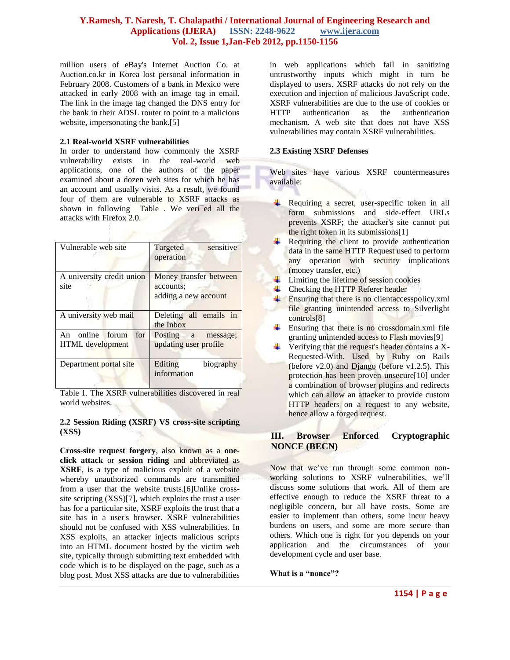million users of eBay's Internet Auction Co. at Auction.co.kr in Korea lost personal information in February 2008. Customers of a bank in Mexico were attacked in early 2008 with an image tag in email. The link in the image tag changed the DNS entry for the bank in their ADSL router to point to a malicious website, impersonating the bank.[5]

#### **2.1 Real-world XSRF vulnerabilities**

In order to understand how commonly the XSRF vulnerability exists in the real-world web applications, one of the authors of the paper examined about a dozen web sites for which he has an account and usually visits. As a result, we found four of them are vulnerable to XSRF attacks as shown in following Table . We veri<sup>-</sup>ed all the attacks with Firefox 2.0.

| Vulnerable web site                        | sensitive<br>Targeted<br>operation                          |
|--------------------------------------------|-------------------------------------------------------------|
| A university credit union<br>site          | Money transfer between<br>accounts;<br>adding a new account |
| A university web mail                      | Deleting all emails in<br>the Inbox                         |
| An online forum<br>for<br>HTML development | Posting a message;<br>updating user profile                 |
| Department portal site                     | Editing<br>biography<br>information                         |

Table 1. The XSRF vulnerabilities discovered in real world websites.

#### **2.2 Session Riding (XSRF) VS cross-site scripting (XSS)**

**Cross-site request forgery**, also known as a **oneclick attack** or **session riding** and abbreviated as **XSRF**, is a type of malicious exploit of a website whereby unauthorized commands are transmitted from a user that the website trusts.[6]Unlike crosssite scripting (XSS)[7], which exploits the trust a user has for a particular site, XSRF exploits the trust that a site has in a user's browser. XSRF vulnerabilities should not be confused with XSS vulnerabilities. In XSS exploits, an attacker injects malicious scripts into an HTML document hosted by the victim web site, typically through submitting text embedded with code which is to be displayed on the page, such as a blog post. Most XSS attacks are due to vulnerabilities

in web applications which fail in sanitizing untrustworthy inputs which might in turn be displayed to users. XSRF attacks do not rely on the execution and injection of malicious JavaScript code. XSRF vulnerabilities are due to the use of cookies or HTTP authentication as the authentication mechanism. A web site that does not have XSS vulnerabilities may contain XSRF vulnerabilities.

#### **2.3 Existing XSRF Defenses**

Web sites have various XSRF countermeasures available:

- Requiring a secret, user-specific token in all ٠. form submissions and side-effect URLs prevents XSRF; the attacker's site cannot put the right token in its submissions[1]
- Requiring the client to provide authentication data in the same HTTP Request used to perform any operation with security implications (money transfer, etc.)
- $\downarrow$  Limiting the lifetime of session cookies
- **↓** Checking the HTTP Referer header
- $\frac{1}{\sqrt{2}}$  Ensuring that there is no clientaccesspolicy.xml file granting unintended access to Silverlight controls[8]
- . Ensuring that there is no crossdomain.xml file granting unintended access to Flash movies[9]
- $\overline{\text{4}}$  Verifying that the request's header contains a X-Requested-With. Used by Ruby on Rails (before  $v2.0$ ) and  $D$ *jango* (before  $v1.2.5$ ). This protection has been proven unsecure[10] under a combination of browser plugins and redirects which can allow an attacker to provide custom HTTP headers on a request to any website, hence allow a forged request.

# **III. Browser Enforced Cryptographic NONCE (BECN)**

Now that we've run through some common nonworking solutions to XSRF vulnerabilities, we'll discuss some solutions that work. All of them are effective enough to reduce the XSRF threat to a negligible concern, but all have costs. Some are easier to implement than others, some incur heavy burdens on users, and some are more secure than others. Which one is right for you depends on your application and the circumstances of your development cycle and user base.

**What is a "nonce"?**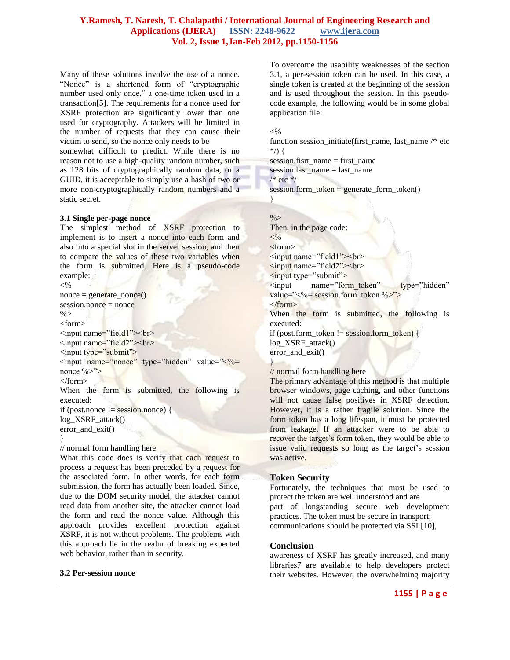Many of these solutions involve the use of a nonce. "Nonce" is a shortened form of "cryptographic number used only once," a one-time token used in a transaction[5]. The requirements for a nonce used for XSRF protection are significantly lower than one used for cryptography. Attackers will be limited in the number of requests that they can cause their victim to send, so the nonce only needs to be somewhat difficult to predict. While there is no

reason not to use a high-quality random number, such as 128 bits of cryptographically random data, or a GUID, it is acceptable to simply use a hash of two or more non-cryptographically random numbers and a static secret.

#### **3.1 Single per-page nonce**

The simplest method of XSRF protection to implement is to insert a nonce into each form and also into a special slot in the server session, and then to compare the values of these two variables when the form is submitted. Here is a pseudo-code example:  $<\!\%$ 

```
nonce = generate, none()session.nonce = nonce
% ><form>
\leqinput name="field1"\geqbr><input name="field2"><br>
```

```
<input type="submit">
\leqinput name="nonce" type="hidden" value="\leq%=
```
nonce  $\frac{9}{2}$ 

```
</form>
```
When the form is submitted, the following is executed:

```
if (post.nonce != session.nonce) {
log_XSRF_attack()
```

```
error_and_exit()
}
```
// normal form handling here

```
What this code does is verify that each request to 
process a request has been preceded by a request for
the associated form. In other words, for each form 
submission, the form has actually been loaded. Since,
due to the DOM security model, the attacker cannot 
read data from another site, the attacker cannot load 
the form and read the nonce value. Although this 
approach provides excellent protection against
XSRF, it is not without problems. The problems with 
this approach lie in the realm of breaking expected 
web behavior, rather than in security.
```
#### **3.2 Per-session nonce**

To overcome the usability weaknesses of the section 3.1, a per-session token can be used. In this case, a single token is created at the beginning of the session and is used throughout the session. In this pseudocode example, the following would be in some global application file:

 $< 0$ 

function session\_initiate(first\_name, last\_name /\* etc \*/) {

session.fisrt\_name = first\_name

session.last\_name = last\_name

 $/*$  etc  $*/$ 

session.form token = generate form token()

# }  $% >$

Then, in the page code:  $< \frac{0}{6}$ <form> <input name="field1"><br/>>br> <input name=‖field2‖><br> <input type="submit"> <input name="form\_token" type="hidden" value=" $\leq$ %= session.form token %>"> </form> When the form is submitted, the following is executed: if (post.form\_token != session.form\_token) { log\_XSRF\_attack() error and exit() }

// normal form handling here

The primary advantage of this method is that multiple browser windows, page caching, and other functions will not cause false positives in XSRF detection. However, it is a rather fragile solution. Since the form token has a long lifespan, it must be protected from leakage. If an attacker were to be able to recover the target's form token, they would be able to issue valid requests so long as the target's session was active.

#### **Token Security**

Fortunately, the techniques that must be used to protect the token are well understood and are part of longstanding secure web development practices. The token must be secure in transport; communications should be protected via SSL[10],

#### **Conclusion**

awareness of XSRF has greatly increased, and many libraries7 are available to help developers protect their websites. However, the overwhelming majority